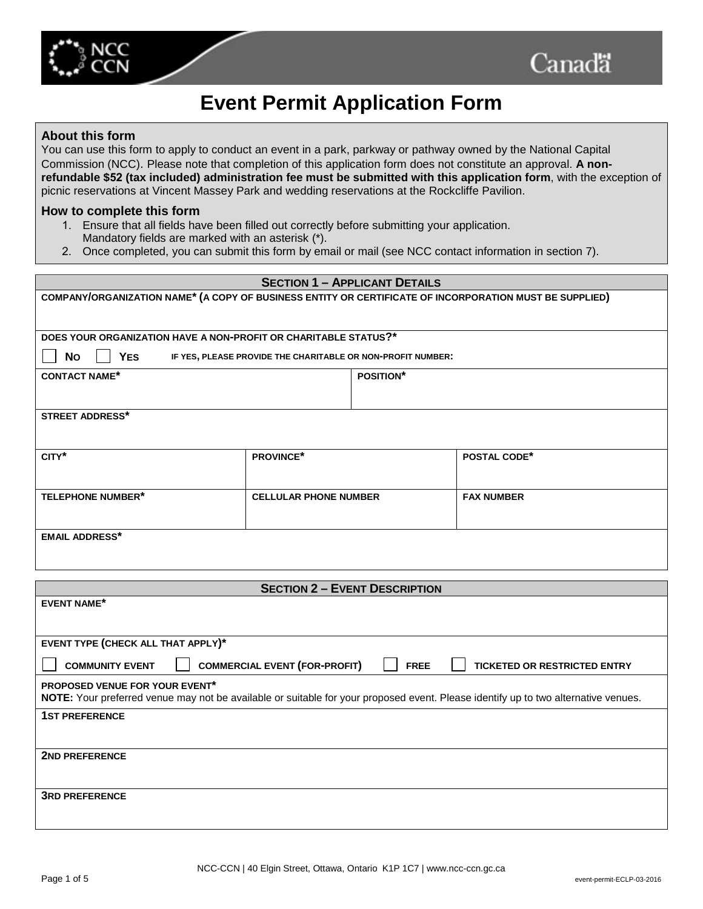

# **Event Permit Application Form**

#### **About this form**

You can use this form to apply to conduct an event in a park, parkway or pathway owned by the National Capital Commission (NCC). Please note that completion of this application form does not constitute an approval. **A nonrefundable \$52 (tax included) administration fee must be submitted with this application form**, with the exception of picnic reservations at Vincent Massey Park and wedding reservations at the Rockcliffe Pavilion.

#### **How to complete this form**

- 1. Ensure that all fields have been filled out correctly before submitting your application. Mandatory fields are marked with an asterisk (\*).
- 2. Once completed, you can submit this form by email or mail (see NCC contact information in section 7).

#### **SECTION 1 – APPLICANT DETAILS**

**COMPANY/ORGANIZATION NAME\* (A COPY OF BUSINESS ENTITY OR CERTIFICATE OF INCORPORATION MUST BE SUPPLIED)**

**DOES YOUR ORGANIZATION HAVE A NON-PROFIT OR CHARITABLE STATUS?\***

 **NO YES IF YES, PLEASE PROVIDE THE CHARITABLE OR NON-PROFIT NUMBER:**

**CONTACT NAME\* POSITION\***

**STREET ADDRESS\***

| CITY*                    | <b>PROVINCE*</b>             | <b>POSTAL CODE*</b> |
|--------------------------|------------------------------|---------------------|
|                          |                              |                     |
|                          |                              |                     |
| <b>TELEPHONE NUMBER*</b> | <b>CELLULAR PHONE NUMBER</b> | <b>FAX NUMBER</b>   |
|                          |                              |                     |
|                          |                              |                     |
| <b>EMAIL ADDRESS*</b>    |                              |                     |
|                          |                              |                     |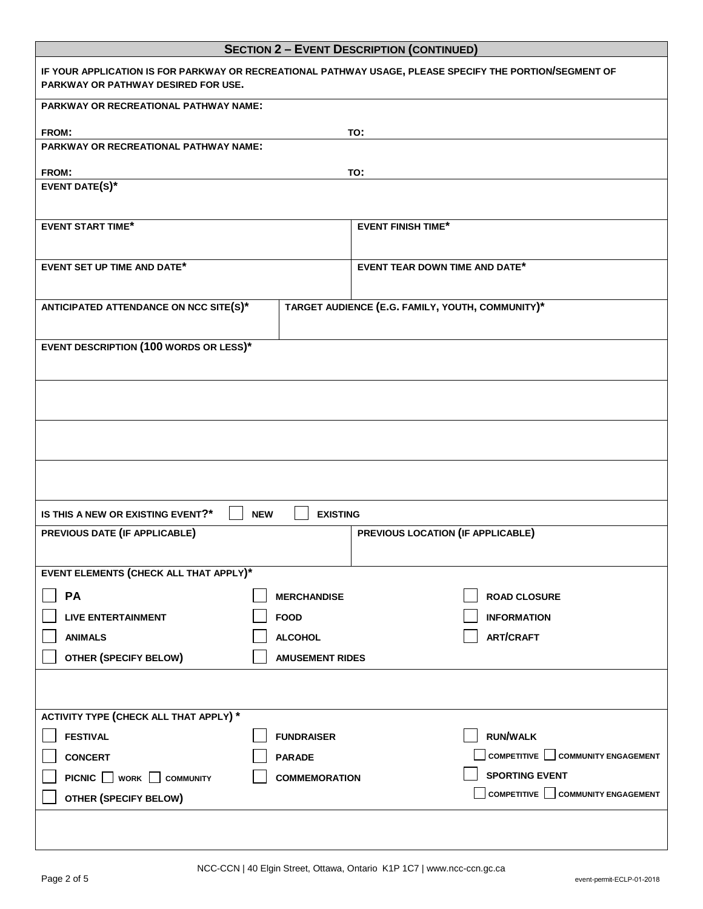|                                                                                                                                                       | <b>SECTION 2 - EVENT DESCRIPTION (CONTINUED)</b> |  |  |  |
|-------------------------------------------------------------------------------------------------------------------------------------------------------|--------------------------------------------------|--|--|--|
| IF YOUR APPLICATION IS FOR PARKWAY OR RECREATIONAL PATHWAY USAGE, PLEASE SPECIFY THE PORTION/SEGMENT OF<br><b>PARKWAY OR PATHWAY DESIRED FOR USE.</b> |                                                  |  |  |  |
| <b>PARKWAY OR RECREATIONAL PATHWAY NAME:</b>                                                                                                          |                                                  |  |  |  |
| FROM:                                                                                                                                                 | TO:                                              |  |  |  |
| <b>PARKWAY OR RECREATIONAL PATHWAY NAME:</b>                                                                                                          |                                                  |  |  |  |
| FROM:                                                                                                                                                 | TO:                                              |  |  |  |
| <b>EVENT DATE(S)*</b>                                                                                                                                 |                                                  |  |  |  |
| <b>EVENT START TIME*</b>                                                                                                                              | <b>EVENT FINISH TIME*</b>                        |  |  |  |
| <b>EVENT SET UP TIME AND DATE*</b>                                                                                                                    | <b>EVENT TEAR DOWN TIME AND DATE*</b>            |  |  |  |
| TARGET AUDIENCE (E.G. FAMILY, YOUTH, COMMUNITY)*<br>ANTICIPATED ATTENDANCE ON NCC SITE(S)*                                                            |                                                  |  |  |  |
| <b>EVENT DESCRIPTION (100 WORDS OR LESS)*</b>                                                                                                         |                                                  |  |  |  |
|                                                                                                                                                       |                                                  |  |  |  |
|                                                                                                                                                       |                                                  |  |  |  |
|                                                                                                                                                       |                                                  |  |  |  |
| <b>EXISTING</b><br>IS THIS A NEW OR EXISTING EVENT?*<br><b>NEW</b>                                                                                    |                                                  |  |  |  |
| PREVIOUS DATE (IF APPLICABLE)                                                                                                                         | PREVIOUS LOCATION (IF APPLICABLE)                |  |  |  |
|                                                                                                                                                       |                                                  |  |  |  |
| EVENT ELEMENTS (CHECK ALL THAT APPLY)*                                                                                                                |                                                  |  |  |  |
| PA<br><b>MERCHANDISE</b>                                                                                                                              | <b>ROAD CLOSURE</b>                              |  |  |  |
| <b>LIVE ENTERTAINMENT</b><br><b>FOOD</b>                                                                                                              | <b>INFORMATION</b>                               |  |  |  |
| <b>ANIMALS</b>                                                                                                                                        | <b>ART/CRAFT</b>                                 |  |  |  |
| <b>ALCOHOL</b><br>OTHER (SPECIFY BELOW)<br><b>AMUSEMENT RIDES</b>                                                                                     |                                                  |  |  |  |
|                                                                                                                                                       |                                                  |  |  |  |
|                                                                                                                                                       |                                                  |  |  |  |
| ACTIVITY TYPE (CHECK ALL THAT APPLY) *                                                                                                                |                                                  |  |  |  |
| <b>FESTIVAL</b><br><b>FUNDRAISER</b>                                                                                                                  | <b>RUN/WALK</b>                                  |  |  |  |
| <b>CONCERT</b><br><b>PARADE</b>                                                                                                                       | COMPETITIVE   COMMUNITY ENGAGEMENT               |  |  |  |
| PICNIC WORK COMMUNITY<br><b>COMMEMORATION</b>                                                                                                         | <b>SPORTING EVENT</b>                            |  |  |  |
| OTHER (SPECIFY BELOW)                                                                                                                                 | COMPETITIVE COMMUNITY ENGAGEMENT                 |  |  |  |
|                                                                                                                                                       |                                                  |  |  |  |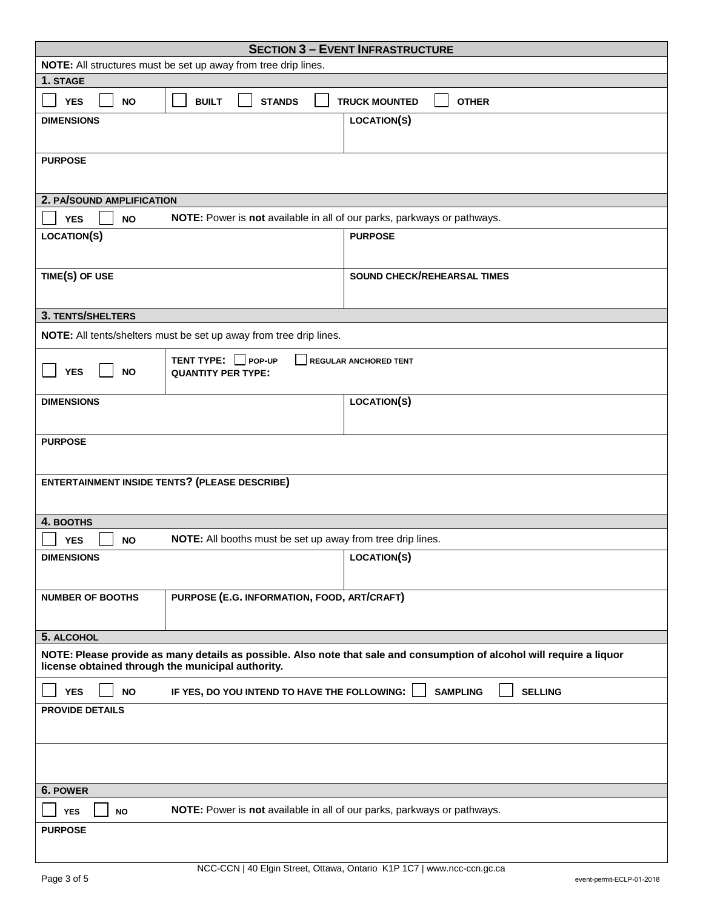|                                                                                                                                                                             |                                                                         | <b>SECTION 3 - EVENT INFRASTRUCTURE</b> |  |  |
|-----------------------------------------------------------------------------------------------------------------------------------------------------------------------------|-------------------------------------------------------------------------|-----------------------------------------|--|--|
| NOTE: All structures must be set up away from tree drip lines.                                                                                                              |                                                                         |                                         |  |  |
| 1. STAGE                                                                                                                                                                    |                                                                         |                                         |  |  |
| <b>YES</b><br><b>NO</b>                                                                                                                                                     | <b>BUILT</b><br><b>STANDS</b>                                           | <b>TRUCK MOUNTED</b><br><b>OTHER</b>    |  |  |
| <b>DIMENSIONS</b>                                                                                                                                                           |                                                                         | <b>LOCATION(S)</b>                      |  |  |
|                                                                                                                                                                             |                                                                         |                                         |  |  |
| <b>PURPOSE</b>                                                                                                                                                              |                                                                         |                                         |  |  |
| 2. PA/SOUND AMPLIFICATION                                                                                                                                                   |                                                                         |                                         |  |  |
| <b>YES</b><br><b>NO</b>                                                                                                                                                     | NOTE: Power is not available in all of our parks, parkways or pathways. |                                         |  |  |
| <b>LOCATION(S)</b>                                                                                                                                                          |                                                                         | <b>PURPOSE</b>                          |  |  |
|                                                                                                                                                                             |                                                                         |                                         |  |  |
| TIME(S) OF USE                                                                                                                                                              |                                                                         | SOUND CHECK/REHEARSAL TIMES             |  |  |
|                                                                                                                                                                             |                                                                         |                                         |  |  |
| 3. TENTS/SHELTERS                                                                                                                                                           |                                                                         |                                         |  |  |
| NOTE: All tents/shelters must be set up away from tree drip lines.                                                                                                          |                                                                         |                                         |  |  |
| <b>YES</b><br><b>NO</b>                                                                                                                                                     | TENT TYPE: Pop-up<br>REGULAR ANCHORED TENT<br><b>QUANTITY PER TYPE:</b> |                                         |  |  |
| <b>DIMENSIONS</b>                                                                                                                                                           |                                                                         | <b>LOCATION(S)</b>                      |  |  |
|                                                                                                                                                                             |                                                                         |                                         |  |  |
| <b>PURPOSE</b>                                                                                                                                                              |                                                                         |                                         |  |  |
|                                                                                                                                                                             |                                                                         |                                         |  |  |
|                                                                                                                                                                             | <b>ENTERTAINMENT INSIDE TENTS? (PLEASE DESCRIBE)</b>                    |                                         |  |  |
|                                                                                                                                                                             |                                                                         |                                         |  |  |
| 4. BOOTHS                                                                                                                                                                   |                                                                         |                                         |  |  |
| <b>NO</b><br><b>YES</b>                                                                                                                                                     | NOTE: All booths must be set up away from tree drip lines.              |                                         |  |  |
| <b>DIMENSIONS</b>                                                                                                                                                           |                                                                         | LOCATION(S)                             |  |  |
|                                                                                                                                                                             |                                                                         |                                         |  |  |
|                                                                                                                                                                             |                                                                         |                                         |  |  |
| <b>NUMBER OF BOOTHS</b>                                                                                                                                                     | PURPOSE (E.G. INFORMATION, FOOD, ART/CRAFT)                             |                                         |  |  |
|                                                                                                                                                                             |                                                                         |                                         |  |  |
| 5. ALCOHOL                                                                                                                                                                  |                                                                         |                                         |  |  |
| NOTE: Please provide as many details as possible. Also note that sale and consumption of alcohol will require a liquor<br>license obtained through the municipal authority. |                                                                         |                                         |  |  |
| <b>YES</b><br><b>NO</b>                                                                                                                                                     | IF YES, DO YOU INTEND TO HAVE THE FOLLOWING:                            | <b>SAMPLING</b><br><b>SELLING</b>       |  |  |
| <b>PROVIDE DETAILS</b>                                                                                                                                                      |                                                                         |                                         |  |  |
|                                                                                                                                                                             |                                                                         |                                         |  |  |
|                                                                                                                                                                             |                                                                         |                                         |  |  |
| 6. POWER                                                                                                                                                                    |                                                                         |                                         |  |  |
| <b>NO</b><br><b>YES</b>                                                                                                                                                     | NOTE: Power is not available in all of our parks, parkways or pathways. |                                         |  |  |
| <b>PURPOSE</b>                                                                                                                                                              |                                                                         |                                         |  |  |
|                                                                                                                                                                             |                                                                         |                                         |  |  |
|                                                                                                                                                                             |                                                                         |                                         |  |  |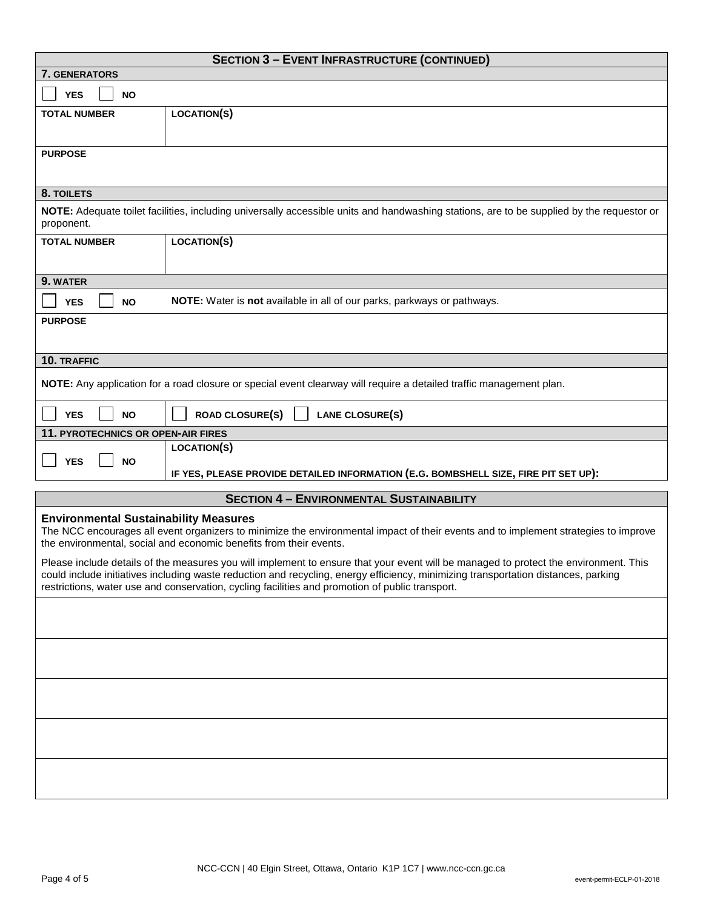|                                                                                                                                                                                                                                                                                                                                                                               | <b>SECTION 3 - EVENT INFRASTRUCTURE (CONTINUED)</b>                                                                                       |  |
|-------------------------------------------------------------------------------------------------------------------------------------------------------------------------------------------------------------------------------------------------------------------------------------------------------------------------------------------------------------------------------|-------------------------------------------------------------------------------------------------------------------------------------------|--|
| <b>7. GENERATORS</b>                                                                                                                                                                                                                                                                                                                                                          |                                                                                                                                           |  |
| <b>YES</b><br><b>NO</b>                                                                                                                                                                                                                                                                                                                                                       |                                                                                                                                           |  |
| <b>TOTAL NUMBER</b>                                                                                                                                                                                                                                                                                                                                                           | <b>LOCATION(S)</b>                                                                                                                        |  |
| <b>PURPOSE</b>                                                                                                                                                                                                                                                                                                                                                                |                                                                                                                                           |  |
| 8. TOILETS                                                                                                                                                                                                                                                                                                                                                                    |                                                                                                                                           |  |
| proponent.                                                                                                                                                                                                                                                                                                                                                                    | NOTE: Adequate toilet facilities, including universally accessible units and handwashing stations, are to be supplied by the requestor or |  |
| <b>TOTAL NUMBER</b>                                                                                                                                                                                                                                                                                                                                                           | <b>LOCATION(S)</b>                                                                                                                        |  |
| 9. WATER                                                                                                                                                                                                                                                                                                                                                                      |                                                                                                                                           |  |
| <b>YES</b><br><b>NO</b>                                                                                                                                                                                                                                                                                                                                                       | NOTE: Water is not available in all of our parks, parkways or pathways.                                                                   |  |
| <b>PURPOSE</b>                                                                                                                                                                                                                                                                                                                                                                |                                                                                                                                           |  |
| 10. TRAFFIC                                                                                                                                                                                                                                                                                                                                                                   |                                                                                                                                           |  |
|                                                                                                                                                                                                                                                                                                                                                                               | NOTE: Any application for a road closure or special event clearway will require a detailed traffic management plan.                       |  |
| <b>YES</b><br><b>NO</b>                                                                                                                                                                                                                                                                                                                                                       | <b>ROAD CLOSURE(S)</b><br>LANE CLOSURE(S)                                                                                                 |  |
| 11. PYROTECHNICS OR OPEN-AIR FIRES                                                                                                                                                                                                                                                                                                                                            |                                                                                                                                           |  |
| <b>YES</b><br><b>NO</b>                                                                                                                                                                                                                                                                                                                                                       | <b>LOCATION(S)</b>                                                                                                                        |  |
|                                                                                                                                                                                                                                                                                                                                                                               | IF YES, PLEASE PROVIDE DETAILED INFORMATION (E.G. BOMBSHELL SIZE, FIRE PIT SET UP):                                                       |  |
|                                                                                                                                                                                                                                                                                                                                                                               | <b>SECTION 4 - ENVIRONMENTAL SUSTAINABILITY</b>                                                                                           |  |
| <b>Environmental Sustainability Measures</b><br>The NCC encourages all event organizers to minimize the environmental impact of their events and to implement strategies to improve<br>the environmental, social and economic benefits from their events.                                                                                                                     |                                                                                                                                           |  |
| Please include details of the measures you will implement to ensure that your event will be managed to protect the environment. This<br>could include initiatives including waste reduction and recycling, energy efficiency, minimizing transportation distances, parking<br>restrictions, water use and conservation, cycling facilities and promotion of public transport. |                                                                                                                                           |  |
|                                                                                                                                                                                                                                                                                                                                                                               |                                                                                                                                           |  |
|                                                                                                                                                                                                                                                                                                                                                                               |                                                                                                                                           |  |
|                                                                                                                                                                                                                                                                                                                                                                               |                                                                                                                                           |  |
|                                                                                                                                                                                                                                                                                                                                                                               |                                                                                                                                           |  |
|                                                                                                                                                                                                                                                                                                                                                                               |                                                                                                                                           |  |